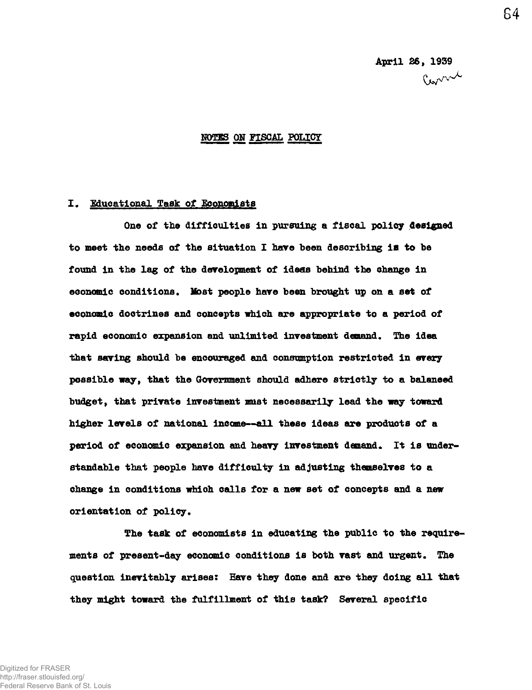## **MOTES ON FISCAL POLICY**

### **I. Educational Task of Economists**

One of the difficulties in pursuing a fiscal policy designed **to meet the needs of the situation I have been describing ia to be found in the lag of the development of ideas behind the change in economic conditions• Most people hare been brought up on a set of economic doctrines and concepts which are appropriate to a period of rapid economic expansion and unlimited investment demand. The idea that saving should be encouraged and consumption restricted in every possible way, that the Government should adhere strictly to a balanced budget, that private investment must necessarily lead the way toward higher levels of national income-~ell these ideas are products of a**  period of economic expansion and heavy investment demand. It is under**standable that people have difficulty in adjusting themselves to a change in conditions which calls for a new set of concepts and a new orientation of policy.** 

**The task of economists in educating the public to the requirements of present-day economic conditions is both vast and urgent. The question inevitably arises; Have they done and are they doing all that they might toward the fulfillment of this task? Several specific**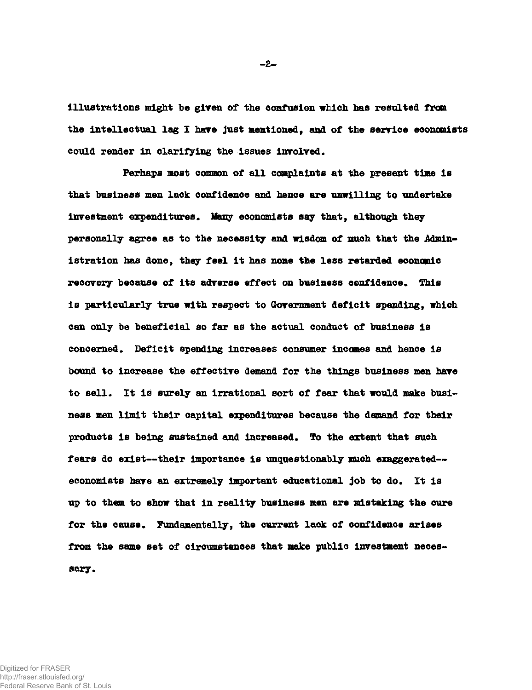**illustrations might be given of the confusion which has resulted from the intellectual lag I hare just mentioned, and of the serrice economists could render in clarifying the issues involved.** 

**Perhaps most common of all complaints at the present time is that business men lack confidence and hence are unwilling to undertake investment expenditures. Many economists say that, although they personally agree as to the necessity and wisdom of much that the Administration has done, they feel it has none the less retarded economic**  recovery because of its adverse effect on business confidence. This **is particularly true with respect to Government deficit spending, which can only be beneficial so far as the actual conduct of business is concerned. Deficit spending increases consumer incomes and hence is bound to increase the effective demand for the things business men have to sell. It is surely an irrational sort of fear that would make business men limit their capital expenditures because the demand for their products is being sustained and increased. To the extent that such fears do exist—their Importance is unquestionably much exaggerated economists have an extremely important educational job to do\* It is up to them to show that in reality business men are mistaking the cure for the cause. Fundamentally, the current lack of confidence arises from the same set of circumstances that make public investment necessary.** 

Digitized for FRASER http://fraser.stlouisfed.org/ Federal Reserve Bank of St. Louis **-2-**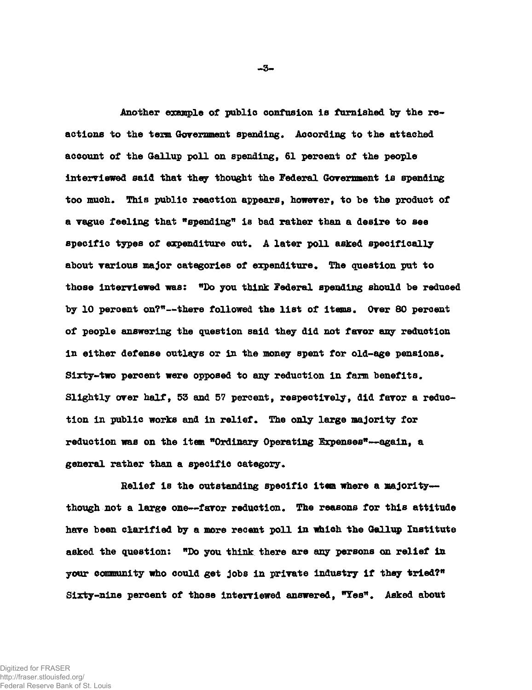**Another example of public confusion is famished by the reactions to the texra Government spending\* According to the attached account of the Gallup poll on spending, 61 percent of the people interviewed said that they thought the Federal Government is spending**  too much. This public reaction appears, however, to be the product of **a vague feeling that "spending\* is bad rather than a desire to see specific types of expenditure cut\* A later poll asked specifically**  about various major categories of expenditure. The question put to **those interviewed was: "Do you think Federal spending should be reduced by 10 percent on?"—there followed the list of items. Over 80 percent of people answering the question said they did not favor any reduction**  in either defense outlays or in the money spent for old-age pensions. **Sixty-two percent were opposed to any reduction in farm benefits. Slightly over half, 53 and 57 percent, respectively, did favor a reduc**tion in public works and in relief. The only large majority for **reduction was on the item "Ordinary Operating Expenses"—again, a**  general rather than a specific category.

**Relief Is the outstanding specific item where a majority**  though not a large one--favor reduction. The reasons for this attitude **have been clarified by a more recent poll in which the Gallup Institute asked the question: "Do you think there are any persons on relief in your community who could get jobs in private industry if they tried?"**  Sixty-nine percent of those interviewed answered, "Yes". Asked about

**-3-**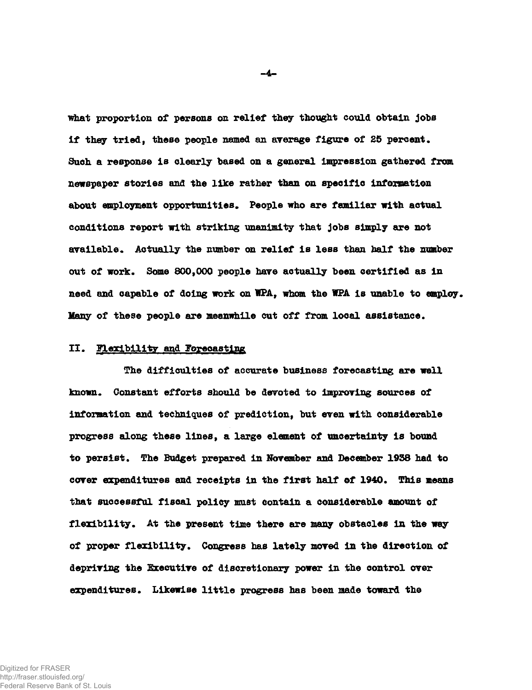**what proportion of persons on relief they thought could obtain jobs if they tried9 these people named an average figure of 25 percent. Such a response is clearly based on a general impression gathered from newspaper stories and the like rather than on specific information**  about employment opportunities. People who are familiar with actual **conditions report with striking unanimity that jobs simply are not available. Actually the number on relief is less than half the number out of work. Some 800,000 people hare actually been certified as in need and capable of doing work on WPA, whom the 1PA is unable to employ. Many of these people are meanwhile cut off from local assistance.** 

### **II. Flexibility and Forecasting**

**The difficulties of accurate business forecasting are well known. Constant efforts should be devoted to improving sources of**  information and techniques of prediction, but even with considerable **progress along these lines, a large element of uncertainty is bound to persist. The Budget prepared in November and December 1938 had to cover expenditures and receipts in the first half of 1940. This means that successful fiscal policy must contain a considerable amount of flexibility. At the present time there are many obstacles in the way of proper flexibility. Congress has lately moved in the direction of depriving the Executive of discretionary power in the control over expenditures. Likewise little progress has been made toward the** 

 $-4-$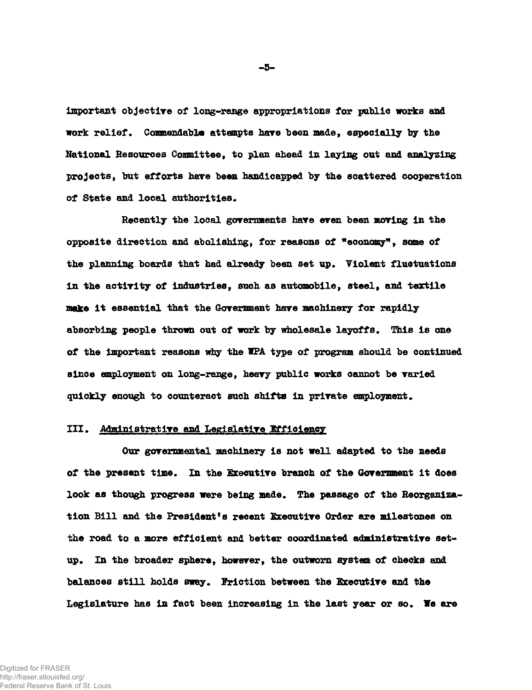**important objective of long-range appropriations for public works and work relief. Commendable attempts have been made, especially by the National Resources Committee, to plan ahead in laying out and analyzing projects, but efforts have been handicapped by the scattered cooperation of State and local authorities.** 

**Recently the local governments have even been moving in the opposite direction and abolishing, for reasons of "economy\*, some of the planning boards that had already been set up. Violent fluctuations in the activity of industries, such as automobile, steel, and textile make it essential that the Government have machinery for rapidly absorbing people thrown out of work by wholesale layoffs. This is one of the important reasons why the WPA type of program should be continued since employment on long-range, heavy public works cannot be varied quickly enough to counteract such shifts in private employment.** 

# **III. Administrative and Legislative Efficiency**

**Our governmental machinery is not well adapted to the needs of the present time. In the Executive branch of the Government it does look as though progress were being made. The passage of the Reorganization Bill and the President's recent Executive Order are milestones on the road to a more efficient and better coordinated administrative setup. In the broader sphere, however, the outworn system of checks and balances still holds sway. Friction between the Executive and the Legislature has in fact been increasing in the last year or so. Ye are** 

**•5-**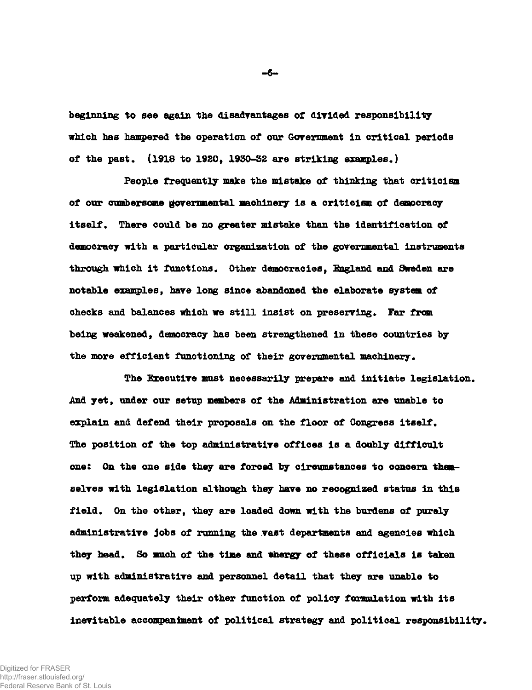**beginning to see again the disadvantages of divided responsibility which has hampered the operation of our Government in critical periods of the past. (1918 to 1920, 1930-32 are striking examples.)** 

**People frequently make the mistake of thinking that criticism of our cumbersome governmental machinery is a criticism of democracy itself. There could be no greater mistake than the identification of democracy with a particular organization of the governmental instruments through which it functions. Other democracies, England and Sweden are notable examples, have long since abandoned the elaborate system of checks and balances which we still insist on preserving. Far from being weakened, democracy has been strengthened in these countries by the more efficient functioning of their governmental machinery.** 

**The Executive must necessarily prepare and initiate legislation. And yet, under our setup members of the Administration are unable to explain and defend their proposals on the floor of Congress itself. The position of the top administrative offices is a doubly difficult ones On the one side they are forced by circumstances to concern themselves with legislation although they have no recognized status in this field. On the other, they are loaded down with the burdens of purely administrative jobs of running the vast departments and agencies which**  they head. So much of the time and thergy of these officials is taken **up with administrative and personnel detail that they are unable to perform adequately their other function of policy foxmulation with its inevitable accompaniment of political strategy and political responsibility.** 

 $-6-$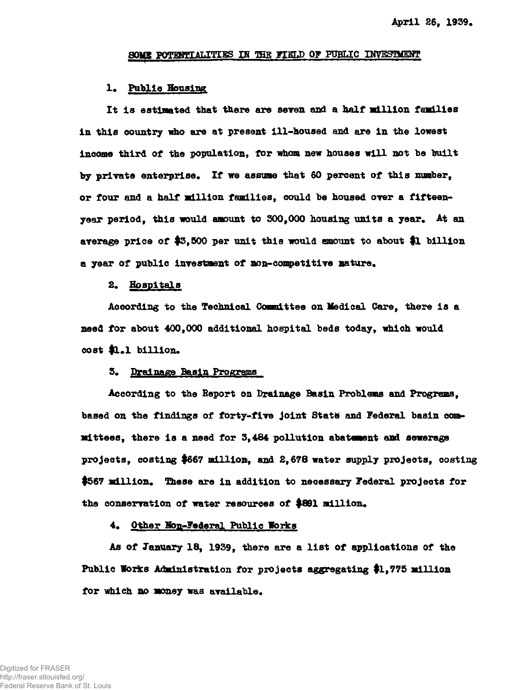### SOMB POTENTIALITIES IN THE FIELD OF PUBLIC INVESTMENT

#### **1« Public Bousing**

**It is estimated that there are seven and a half million families in this country who are at present ill-housed and are in the lowest income third of the population, for whom new houses will not be built**  by private enterprise. If we assume that 60 percent of this number. **or four and a half million families, could be housed over a fifteenyear period, this would amount to 300,000 housing units a year\* At an average price of #3,500 per unit this would amount to about \$1 billion**  a year of public investment of non-competitive nature.

#### **2\* Hospitals**

**According to the Technical Committee on Medical Care, there is a**  need for about 400,000 additional hospital beds today, which would cost \$1.1 billion.

#### **3\* Drainage Basin Programs**

**According to the Report on Drainage Basin Problems and Programs,**  based on the findings of forty-five joint State and Federal basin com**mittees, there is a need for 3,484 pollution abatement and sewerage projects, costing #667 million, and 2,678 water supply projects, costing #567 million\* These are in addition to necessary Federal projects for**  the conservation of water resources of \$891 million.

#### 4. Other Non-Federal Public Works

**As of January 18, 1939, there are a list of applications of the Public Works Administration for projects aggregating #1,775 million**  for which no money was available.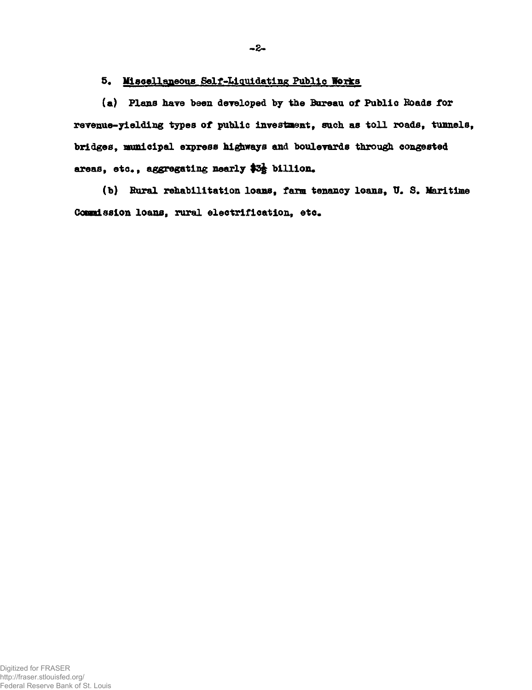# 5. Miscellaneous Self-Liquidating Public Works

**(a) Plans have been developed by the Bureau of Public Roads for revenue-yielding types of public investment, such as toll roads, tunnels, bridges, municipal express highways and boulevards through congested**  areas, etc., aggregating nearly \$3<sup>}</sup> billion.

(b) Rural rehabilitation loans, farm tenancy loans, U. S. Maritime Commission loans, rural electrification, etc.

**-2-**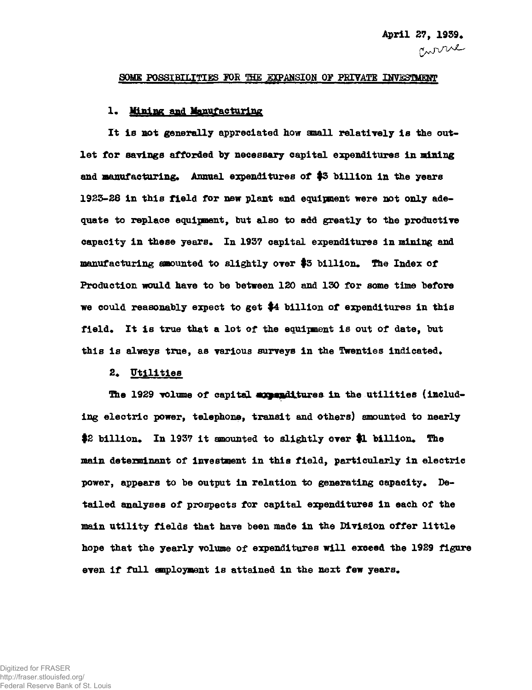#### SOME POSSIBILITIES FOR THE EXPANSION OF PRIVATE INVESTMENT

#### **1. Mining and Manufacturing**

**It is not generally appreciated how small relatively is the outlet for savings afforded by necessary capital expenditures in mining and manufacturing\* Annual expenditures of \$3 billion in the years 1925-28 in this field for new plant and equipment were not only adequate to replace equipment, but also to add greatly to the productive capacity in these years\* In 1957 capital expenditures in mining and manufacturing amounted to slightly over \$3 billion. The Index of Production would have to be between 120 and 130 for some time before we could reasonably expect to get #4 billion of expenditures in this field\* It is true that a lot of the equipment is out of date, but**  this is always true, as various surveys in the Twenties indicated.

#### 2. Utilities

The 1929 volume of capital appenditures in the utilities (includ**ing electric power, telephone, transit and others) amounted to nearly**  \$2 billion. In 1937 it amounted to slightly over \$1 billion. The **main determinant of investment in this field, particularly in electric**  power, appears to be output in relation to generating capacity. De**tailed analyses of prospects for capital expenditures in each of the main utility fields that have been made in the Division offer little hope that the yearly volume of expenditures will exceed the 1929 figure**  even if full employment is attained in the next few years.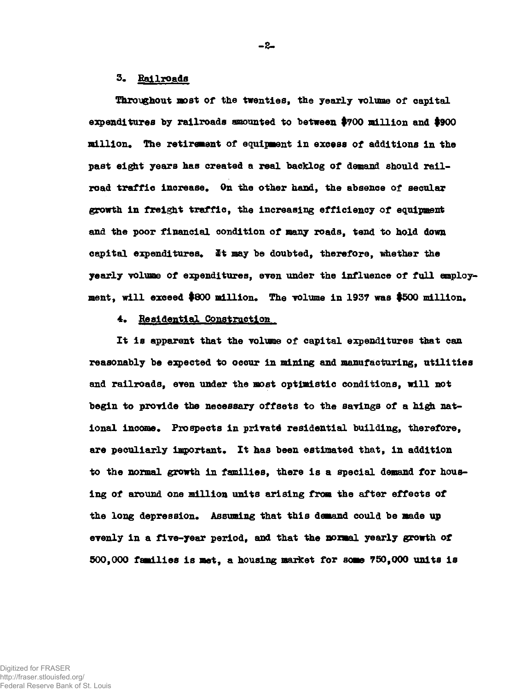### **3\* Railroads**

**Throughout most of the twenties, the yearly volume of capital expenditures by railroads amounted to between #700 million and #900 million. The retirement of equipment in excess of additions in the past eigit years has created a real backlog of demand should railroad traffic increase. On the other hand, the absence of secular growth in freight traffic, the increasing efficiency of equipment and the poor financial condition of many roads, tend to hold down**  capital expenditures. It may be doubted, therefore, whether the **yearly volume of expenditures, even under the influence of full employ**ment, will exceed \$800 million. The volume in 1937 was \$500 million.

### **4. Residential Construction**

**It is apparent that the volume of capital expenditures that can reasonably be expected to occur in mining and manufacturing, utilities and railroads, even under the most optimistic conditions, will not begin to provide the necessary offsets to the savings of a high nat**ional income. Prospects in private residential building, therefore, **are peculiarly important. It has been estimated that, in addition to the normal growth in families, there is a special demand for housing of around one million units arising from the after effects of**  the long depression. Assuming that this demand could be made up **evenly in a five-year period, and that the normal yearly growth of 500,000 families is met9 a housing market for some 750,000 units is** 

**-2-**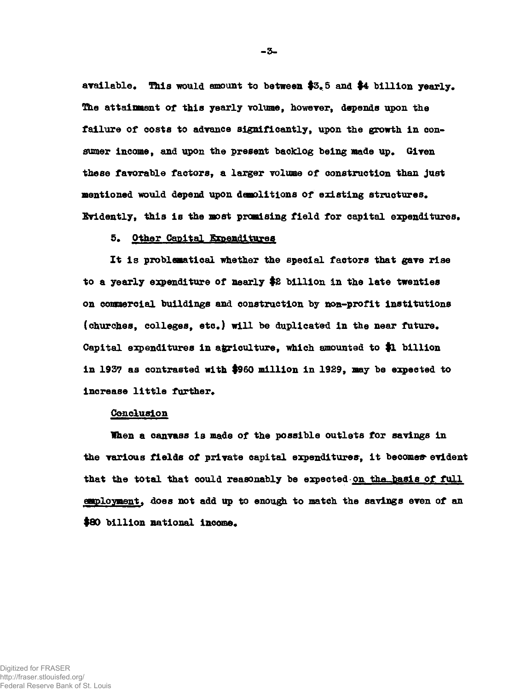**available. This would amount to between #3. 5 and #4 billion yearly. The attainment of this yearly volume, however, depends upon the failure of costs to advance significantly, upon the growth in consumer income, and upon the present backlog being made up. Given these favorable factors, a larger volume of construction than just mentioned would depend upon demolitions of existing structures. Evidently, this is the most promising field for capital expenditures.** 

### **5. Other Capital Expenditures**

**It is problematical whether the special factors that gave rise to a yearly expenditure of nearly #2 billion in the late twenties on commercial buildings and construction by non-profit institutions (churches, colleges, etc.) will be duplicated In the near future. Capital expenditures in agriculture, which amounted to \$1 billion in 1937 as contrasted with #960 million in 1929, may be expected to increase little further.** 

### **Conclusion**

**When a canvass is made of the possible outlets for savings in the various fields of private capital expenditures, it becomes\* evident**  that the total that could reasonably be expected on the basis of full **employment. does not add up to enough to match the savings even of an**  \$80 billion national income.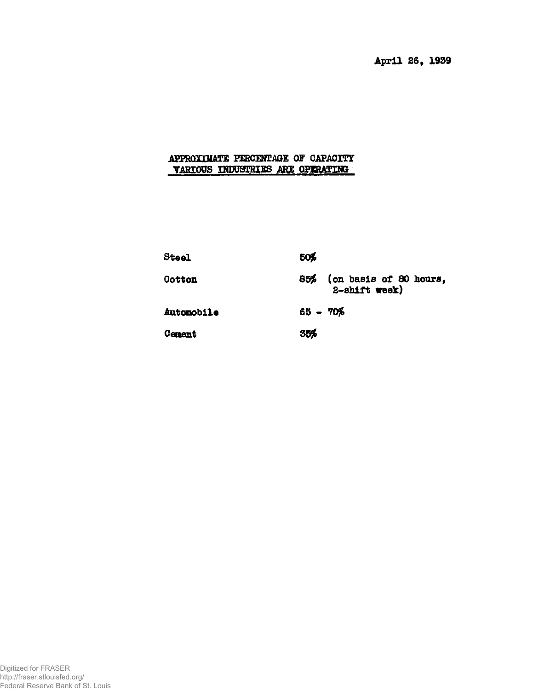**April 26f 1939** 

# **APPROXIMATE PERCENTAGE 07 CAPACITY VARIOUS INDUSTRIES ARE OPERATING**

| Steel      | 50%                                            |
|------------|------------------------------------------------|
| Cotton     | (on basis of 80 hours,<br>85%<br>2-shift week) |
| Automobile | $65 - 70%$                                     |
| Cement     | 35%                                            |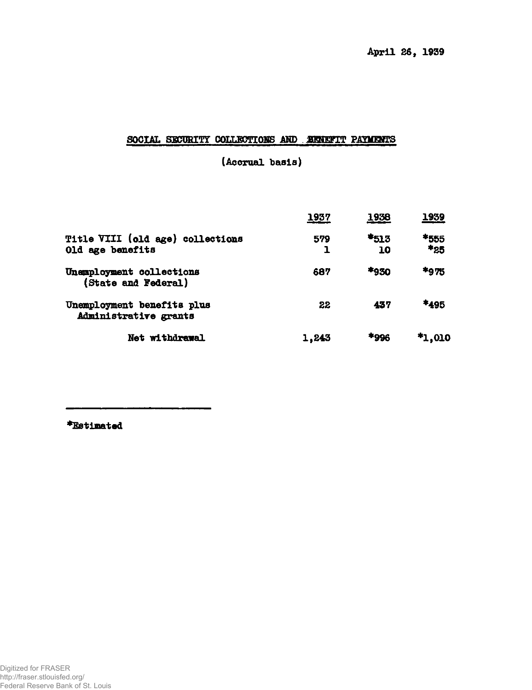# SOCIAL SECURITY COLLECTIONS AND **EXNETT PAYMENTS**

**(Accrual basis)** 

|                                                      | 1937  | 1938       | 1939        |
|------------------------------------------------------|-------|------------|-------------|
| Title VIII (old age) collections<br>Old age benefits | 579   | *513<br>10 | *555<br>*25 |
| Unemployment collections<br>(State and Federal)      | 687   | *930       | *975        |
| Unemployment benefits plus<br>Administrative grants  | 22    | 437        | *495        |
| Net withdrawal                                       | 1,243 | *996       | $*1,010$    |

**•Estimated**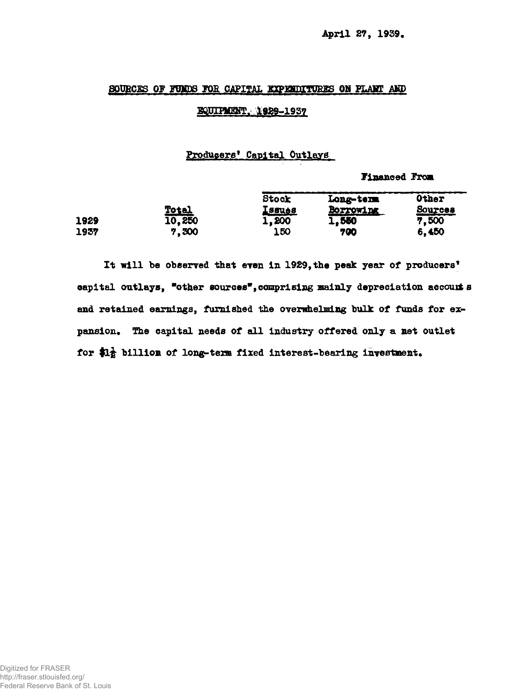## SOURCES OF FUNDS FOR CAPITAL EXPENDITURES ON PLANT AND

## **BQUIPLIENT. 1929-1937**

## **Producers<sup>1</sup> Capital Outlays**

**Financed From** 

|      |                        | Stock                  | Long-term          | <b>Other</b>            |
|------|------------------------|------------------------|--------------------|-------------------------|
| 1929 | <b>Total</b><br>10,250 | <u>[ssues</u><br>1,200 | BOFTOWIDE<br>1.550 | <b>Sources</b><br>7,500 |
| 1957 | 7.300                  | <b>150</b>             | 700                | 6,450                   |

**It nill be observed that even in 1929, the peak year of producers<sup>9</sup>** capital outlays, "other sources", comprising mainly depreciation accounts **and retained earnings, furnished the overwhelming bulk of funds for ex**pansion. The capital needs of all industry offered only a net outlet for  $\mathbf{H}_{\mathbf{E}}^{\perp}$  billion of long-term fixed interest-bearing investment.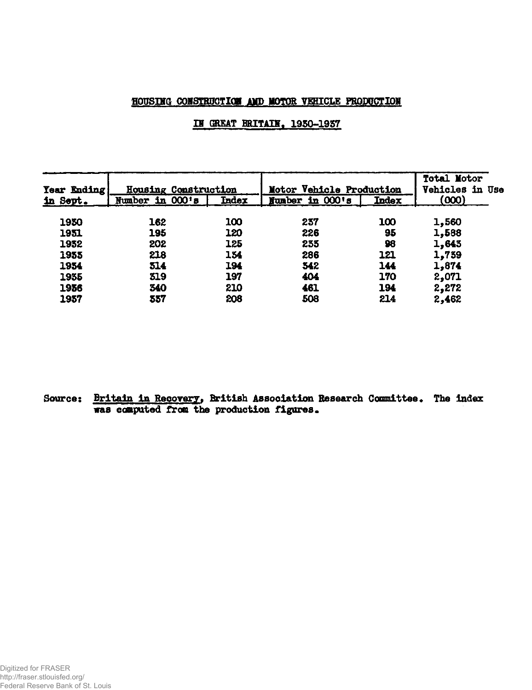# **HOUSIMG CONSTRUCTION AMD MOTOR VEHICLE PRODUCTION**

# **IU GREAT BRITAIN. 1950-1957**

| <b>Tear Ending</b> |                 | Housing Construction | Motor Vehicle Production |       | <b>Total Motor</b><br>Vehicles in Use |  |
|--------------------|-----------------|----------------------|--------------------------|-------|---------------------------------------|--|
| in Sept.           | Number in 000's | <b>Index</b>         | Number in 000's          | Index | (000)                                 |  |
| 1930               | 162             | 100                  | 237                      | 100   | 1,560                                 |  |
| 1951               | 195             | 120                  | 226                      | 95    | 1,588                                 |  |
| 1932               | 202             | 125                  | 235                      | 98    | 1,643                                 |  |
| 1955               | 218             | 154                  | 286                      | 121   | 1,739                                 |  |
| 1954               | 514             | 194                  | 342                      | 144   | 1,874                                 |  |
| 1935               | 319             | 197                  | 404                      | 170   | 2,071                                 |  |
| 1956               | 340             | 210                  | 461                      | 194   | 2,272                                 |  |
| 1957               | 357             | 208                  | 508                      | 214   | 2,462                                 |  |

**Scarce: Britain In Recovery, British Association Research Committee, The index was computed from the production figures.**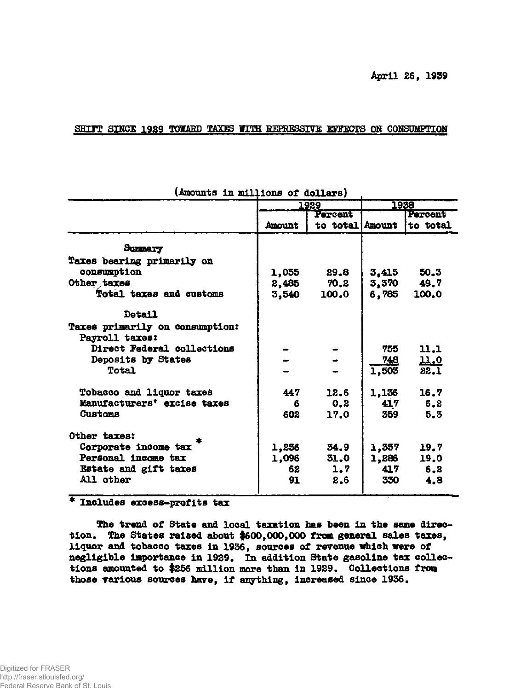## SHIFT SINCE 1929 TOWARD TAXES WITH REPRESSIVE EFFECTS ON CONSUMPTION

| (AMOUNTS IN MITTIONS OI GOTTSTS)                  |        |                 |            |             |  |
|---------------------------------------------------|--------|-----------------|------------|-------------|--|
|                                                   |        | 1929            | 1958       |             |  |
|                                                   |        | Percent         |            | Percent     |  |
|                                                   | Amount | to total Amount |            | to total    |  |
| Summary                                           |        |                 |            |             |  |
| Taxes bearing primarily on                        |        |                 |            |             |  |
| consumption                                       | 1,055  | 29.8            |            | 50.3        |  |
|                                                   |        |                 | 3.415      |             |  |
| Other taxes                                       | 2,485  | 70.2            | 3,370      | 49.7        |  |
| Total taxes and customs                           | 3,540  | 100.0           | 6,785      | 100.0       |  |
| Detail                                            |        |                 |            |             |  |
| Taxes primarily on consumption:<br>Payroll taxes: |        |                 |            |             |  |
| Direct Federal collections                        |        |                 | 755        | 11,1        |  |
| Deposits by States                                |        |                 | <b>748</b> | <u>11.0</u> |  |
| Total                                             |        |                 | 1,503      | 22.1        |  |
|                                                   |        |                 |            |             |  |
| Tobacco and liquor taxes                          | 447    | 12.6            | 1,136      | 16.7        |  |
| Manufacturers' excise taxes                       | 6      | 0.2             | 417        | 6.2         |  |
| Customs                                           | 602    | 17.0            | 359        | 5.3         |  |
| Other taxes:                                      |        |                 |            |             |  |
| Corporate income tax                              | 1,236  | 34.9            | 1,337      | 19.7        |  |
| Personal income tax                               | 1,096  | 31.0            | 1,286      | 19.0        |  |
| Estate and gift taxes                             | 62     | 1.7             | 417        | 6, 2        |  |
| All other                                         | 91     | 2,6             | 330        | 4.8         |  |
|                                                   |        |                 |            |             |  |

**(Amounts in millions of dollars)** 

# **\* Inolud.es excess-profits tax**

The trend of State and local taxation has been in the same direc**tion. The States raised about \$600,000,000 from general sales taxes, liquor and tobacco taxes in 1936, sources of revenue which were of negligible importance in 1929. In addition State gasoline tax collections amounted to #256 million more than in 1929. Collections from those various sources hare, if anything, increased since 1936.**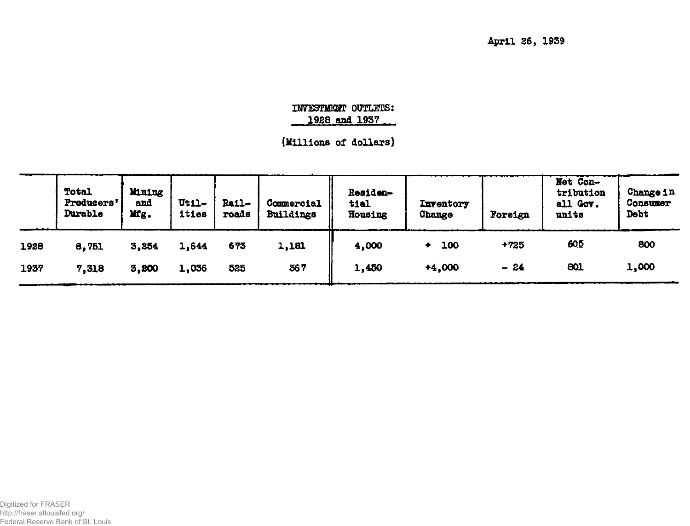**April 26f 1939** 

# *TWESBSEffi* **OUTLETS: 1928 and 1937**

**(Millions of dollars)** 

|      | Total<br>Producers'<br>Durable | Mining<br>and<br>Mg. | $Ut11-$<br>ities | Rail-<br>roads | Commercial<br>Buildings | Residen-<br>tial<br>Housing | Inventory<br>Change | Foreign | Net Con-<br>tribution<br>all Gov.<br>units | Change in<br>Consumer<br>Debt |
|------|--------------------------------|----------------------|------------------|----------------|-------------------------|-----------------------------|---------------------|---------|--------------------------------------------|-------------------------------|
| 1928 | 8,751                          | 3,254                | 1,644            | 673            | 1,181                   | 4,000                       | 100                 | $+725$  | 605                                        | 800                           |
| 1937 | 7,318                          | 3,200                | 1,036            | 525            | 367                     | 1,450                       | $+4,000$            | $-24$   | 801                                        | 1,000                         |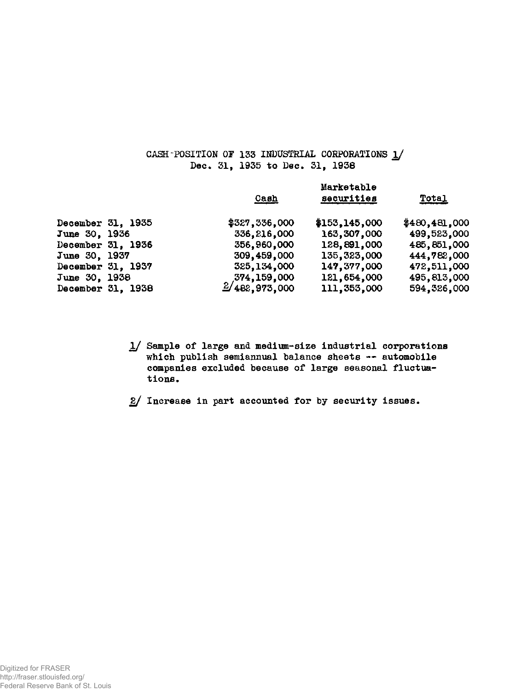# **CASH-POSITION OF 133 INDUSTRIAL CORPOKATIONS 1/ Dec. 31f 1935 to Dec. 31, 1938**

|                   |                   | <b>Cash</b>                | Marketable<br>securities | <b>Total</b>  |
|-------------------|-------------------|----------------------------|--------------------------|---------------|
| December 31, 1935 |                   | \$327,336,000              | \$153,145,000            | \$480,481,000 |
| June 30, 1936     |                   | 336,216,000                | 163,307,000              | 499,523,000   |
| December 31, 1936 |                   | 356,960,000                | 128,891,000              | 485,851,000   |
| June 30, 1937     |                   | 309,459,000                | 135, 323, 000            | 444,782,000   |
| December 31, 1937 |                   | 325, 134, 000              | 147, 377, 000            | 472,511,000   |
| June 30, 1938     |                   | 374,159,000                | 121,654,000              | 495,813,000   |
|                   | December 31, 1938 | $\frac{2}{482}$ , 973, 000 | 111, 353, 000            | 594, 326, 000 |

- **1/ Sample of large and medium-size industrial corporations which publish semiannual balance sheets — automobile companies excluded because of large seasonal fluctuations.**
- **2/ Increase in part accounted for by security issues.**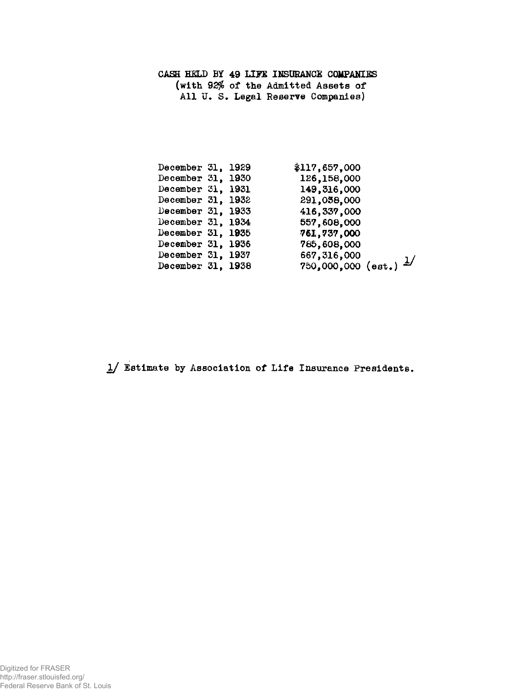# **CASH HELD BY 49 LIFE INSURANCE COMPANIES (with 92\$ of the Admitted Assets of All U. S. Legal Reserve Companies)**

| December 31, 1929 |  | \$117,657,000                      |
|-------------------|--|------------------------------------|
| December 31, 1930 |  | 126,158,000                        |
| December 31, 1931 |  | 149,316,000                        |
| December 31, 1932 |  | 291,058,000                        |
| December 31, 1933 |  | 416, 337, 000                      |
| December 31, 1934 |  | 557,608,000                        |
| December 31, 1935 |  | 761,737,000                        |
| December 31, 1936 |  | 785,608,000                        |
| December 31, 1937 |  | 667,316,000                        |
| December 31, 1938 |  | $750,000,000$ (est.) $\frac{1}{2}$ |
|                   |  |                                    |

**1/ Estimate by Association of Life Insurance Presidents.**